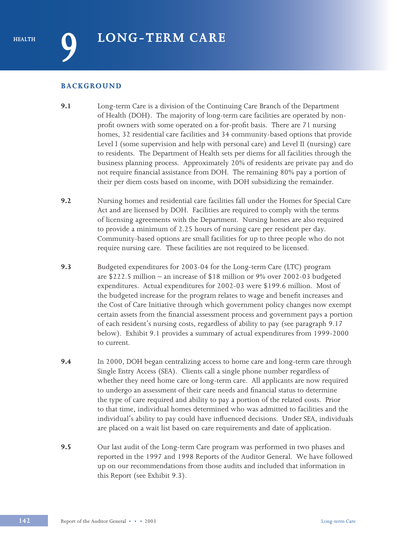### **BACKGROUND**

- **9.1** Long-term Care is a division of the Continuing Care Branch of the Department of Health (DOH). The majority of long-term care facilities are operated by nonprofit owners with some operated on a for-profit basis. There are 71 nursing homes, 32 residential care facilities and 34 community-based options that provide Level I (some supervision and help with personal care) and Level II (nursing) care to residents. The Department of Health sets per diems for all facilities through the business planning process. Approximately 20% of residents are private pay and do not require financial assistance from DOH. The remaining 80% pay a portion of their per diem costs based on income, with DOH subsidizing the remainder.
- **9.2** Nursing homes and residential care facilities fall under the Homes for Special Care Act and are licensed by DOH. Facilities are required to comply with the terms of licensing agreements with the Department. Nursing homes are also required to provide a minimum of 2.25 hours of nursing care per resident per day. Community-based options are small facilities for up to three people who do not require nursing care. These facilities are not required to be licensed.
- **9.3** Budgeted expenditures for 2003-04 for the Long-term Care (LTC) program are \$222.5 million – an increase of \$18 million or 9% over 2002-03 budgeted expenditures. Actual expenditures for 2002-03 were \$199.6 million. Most of the budgeted increase for the program relates to wage and benefit increases and the Cost of Care Initiative through which government policy changes now exempt certain assets from the financial assessment process and government pays a portion of each resident's nursing costs, regardless of ability to pay (see paragraph 9.17 below). Exhibit 9.1 provides a summary of actual expenditures from 1999-2000 to current.
- **9.4** In 2000, DOH began centralizing access to home care and long-term care through Single Entry Access (SEA). Clients call a single phone number regardless of whether they need home care or long-term care. All applicants are now required to undergo an assessment of their care needs and financial status to determine the type of care required and ability to pay a portion of the related costs. Prior to that time, individual homes determined who was admitted to facilities and the individual's ability to pay could have influenced decisions. Under SEA, individuals are placed on a wait list based on care requirements and date of application.
- **9.5** Our last audit of the Long-term Care program was performed in two phases and reported in the 1997 and 1998 Reports of the Auditor General. We have followed up on our recommendations from those audits and included that information in this Report (see Exhibit 9.3).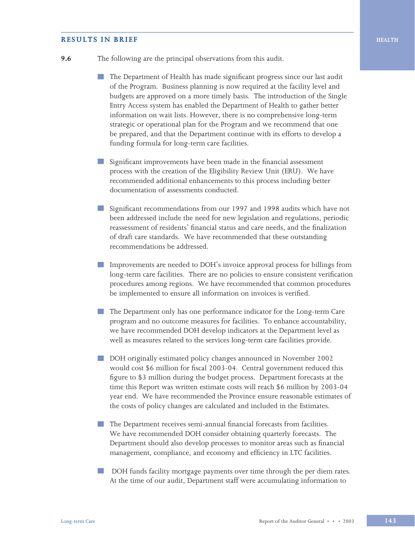#### **RESULTS IN BRIEF HEALTH**

- **9.6** The following are the principal observations from this audit.
	- The Department of Health has made significant progress since our last audit of the Program. Business planning is now required at the facility level and budgets are approved on a more timely basis. The introduction of the Single Entry Access system has enabled the Department of Health to gather better information on wait lists. However, there is no comprehensive long-term strategic or operational plan for the Program and we recommend that one be prepared, and that the Department continue with its efforts to develop a funding formula for long-term care facilities.
	- **Contract** Significant improvements have been made in the financial assessment process with the creation of the Eligibility Review Unit (ERU). We have recommended additional enhancements to this process including better documentation of assessments conducted.
	- Significant recommendations from our 1997 and 1998 audits which have not been addressed include the need for new legislation and regulations, periodic reassessment of residents' financial status and care needs, and the finalization of draft care standards. We have recommended that these outstanding recommendations be addressed.
	- Improvements are needed to DOH's invoice approval process for billings from long-term care facilities. There are no policies to ensure consistent verification procedures among regions. We have recommended that common procedures be implemented to ensure all information on invoices is verified.
	- **Contract** The Department only has one performance indicator for the Long-term Care program and no outcome measures for facilities. To enhance accountability, we have recommended DOH develop indicators at the Department level as well as measures related to the services long-term care facilities provide.
	- DOH originally estimated policy changes announced in November 2002 would cost \$6 million for fiscal 2003-04. Central government reduced this figure to \$3 million during the budget process. Department forecasts at the time this Report was written estimate costs will reach \$6 million by 2003-04 year end. We have recommended the Province ensure reasonable estimates of the costs of policy changes are calculated and included in the Estimates.
	- **The Department receives semi-annual financial forecasts from facilities.** We have recommended DOH consider obtaining quarterly forecasts. The Department should also develop processes to monitor areas such as financial management, compliance, and economy and efficiency in LTC facilities.
	- DOH funds facility mortgage payments over time through the per diem rates. At the time of our audit, Department staff were accumulating information to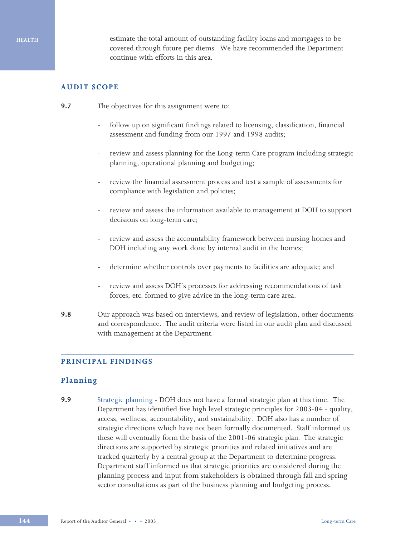estimate the total amount of outstanding facility loans and mortgages to be covered through future per diems. We have recommended the Department continue with efforts in this area.

## **AUDIT SCOPE**

- **9.7** The objectives for this assignment were to:
	- follow up on significant findings related to licensing, classification, financial assessment and funding from our 1997 and 1998 audits;
	- review and assess planning for the Long-term Care program including strategic planning, operational planning and budgeting;
	- review the financial assessment process and test a sample of assessments for compliance with legislation and policies;
	- review and assess the information available to management at DOH to support decisions on long-term care;
	- review and assess the accountability framework between nursing homes and DOH including any work done by internal audit in the homes;
	- determine whether controls over payments to facilities are adequate; and
	- review and assess DOH's processes for addressing recommendations of task forces, etc. formed to give advice in the long-term care area.
- **9.8** Our approach was based on interviews, and review of legislation, other documents and correspondence. The audit criteria were listed in our audit plan and discussed with management at the Department.

## **PRINCIPAL FINDINGS**

### **Planning**

**9.9** Strategic planning - DOH does not have a formal strategic plan at this time. The Department has identified five high level strategic principles for 2003-04 - quality, access, wellness, accountability, and sustainability. DOH also has a number of strategic directions which have not been formally documented. Staff informed us these will eventually form the basis of the 2001-06 strategic plan*.* The strategic directions are supported by strategic priorities and related initiatives and are tracked quarterly by a central group at the Department to determine progress. Department staff informed us that strategic priorities are considered during the planning process and input from stakeholders is obtained through fall and spring sector consultations as part of the business planning and budgeting process.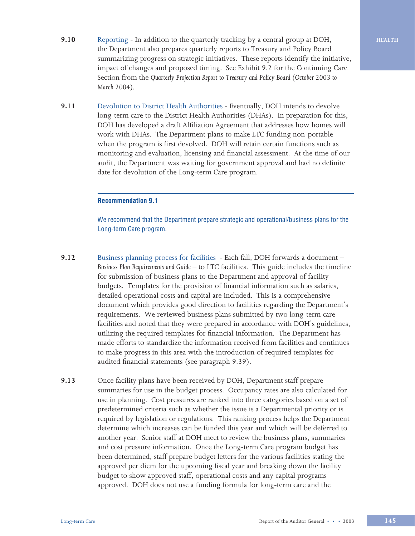- **9.10** Reporting In addition to the quarterly tracking by a central group at DOH, the Department also prepares quarterly reports to Treasury and Policy Board summarizing progress on strategic initiatives. These reports identify the initiative, impact of changes and proposed timing. See Exhibit 9.2 for the Continuing Care Section from the *Quarterly Projection Report to Treasury and Policy Board (October 2003 to March 2004).*
- **9.11** Devolution to District Health Authorities Eventually, DOH intends to devolve long-term care to the District Health Authorities (DHAs). In preparation for this, DOH has developed a draft Affiliation Agreement that addresses how homes will work with DHAs. The Department plans to make LTC funding non-portable when the program is first devolved. DOH will retain certain functions such as monitoring and evaluation, licensing and financial assessment. At the time of our audit, the Department was waiting for government approval and had no definite date for devolution of the Long-term Care program.

### **Recommendation 9.1**

We recommend that the Department prepare strategic and operational/business plans for the Long-term Care program.

- **9.12** Business planning process for facilities Each fall, DOH forwards a document *Business Plan Requirements and Guide* – to LTC facilities. This guide includes the timeline for submission of business plans to the Department and approval of facility budgets. Templates for the provision of financial information such as salaries, detailed operational costs and capital are included. This is a comprehensive document which provides good direction to facilities regarding the Department's requirements. We reviewed business plans submitted by two long-term care facilities and noted that they were prepared in accordance with DOH's guidelines, utilizing the required templates for financial information. The Department has made efforts to standardize the information received from facilities and continues to make progress in this area with the introduction of required templates for audited financial statements (see paragraph 9.39).
- **9.13** Once facility plans have been received by DOH, Department staff prepare summaries for use in the budget process. Occupancy rates are also calculated for use in planning. Cost pressures are ranked into three categories based on a set of predetermined criteria such as whether the issue is a Departmental priority or is required by legislation or regulations. This ranking process helps the Department determine which increases can be funded this year and which will be deferred to another year. Senior staff at DOH meet to review the business plans, summaries and cost pressure information. Once the Long-term Care program budget has been determined, staff prepare budget letters for the various facilities stating the approved per diem for the upcoming fiscal year and breaking down the facility budget to show approved staff, operational costs and any capital programs approved. DOH does not use a funding formula for long-term care and the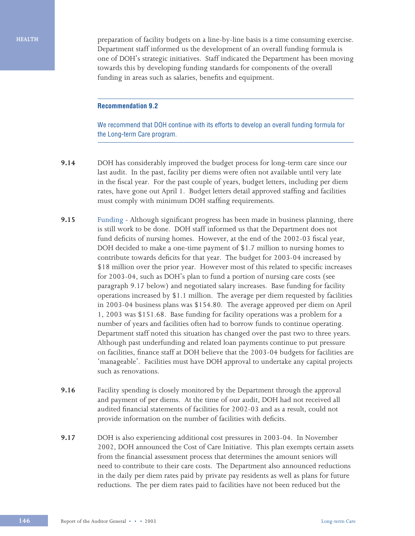**HEALTH**

preparation of facility budgets on a line-by-line basis is a time consuming exercise. Department staff informed us the development of an overall funding formula is one of DOH's strategic initiatives. Staff indicated the Department has been moving towards this by developing funding standards for components of the overall funding in areas such as salaries, benefits and equipment.

### **Recommendation 9.2**

We recommend that DOH continue with its efforts to develop an overall funding formula for the Long-term Care program.

- **9.14** DOH has considerably improved the budget process for long-term care since our last audit. In the past, facility per diems were often not available until very late in the fiscal year. For the past couple of years, budget letters, including per diem rates, have gone out April 1. Budget letters detail approved staffing and facilities must comply with minimum DOH staffing requirements.
- **9.15** Funding Although significant progress has been made in business planning, there is still work to be done. DOH staff informed us that the Department does not fund deficits of nursing homes. However, at the end of the 2002-03 fiscal year, DOH decided to make a one-time payment of \$1.7 million to nursing homes to contribute towards deficits for that year. The budget for 2003-04 increased by \$18 million over the prior year. However most of this related to specific increases for 2003-04, such as DOH's plan to fund a portion of nursing care costs (see paragraph 9.17 below) and negotiated salary increases. Base funding for facility operations increased by \$1.1 million. The average per diem requested by facilities in 2003-04 business plans was \$154.80. The average approved per diem on April 1, 2003 was \$151.68. Base funding for facility operations was a problem for a number of years and facilities often had to borrow funds to continue operating. Department staff noted this situation has changed over the past two to three years. Although past underfunding and related loan payments continue to put pressure on facilities, finance staff at DOH believe that the 2003-04 budgets for facilities are 'manageable'. Facilities must have DOH approval to undertake any capital projects such as renovations.
- **9.16** Facility spending is closely monitored by the Department through the approval and payment of per diems. At the time of our audit, DOH had not received all audited financial statements of facilities for 2002-03 and as a result, could not provide information on the number of facilities with deficits.
- **9.17** DOH is also experiencing additional cost pressures in 2003-04. In November 2002, DOH announced the Cost of Care Initiative. This plan exempts certain assets from the financial assessment process that determines the amount seniors will need to contribute to their care costs. The Department also announced reductions in the daily per diem rates paid by private pay residents as well as plans for future reductions. The per diem rates paid to facilities have not been reduced but the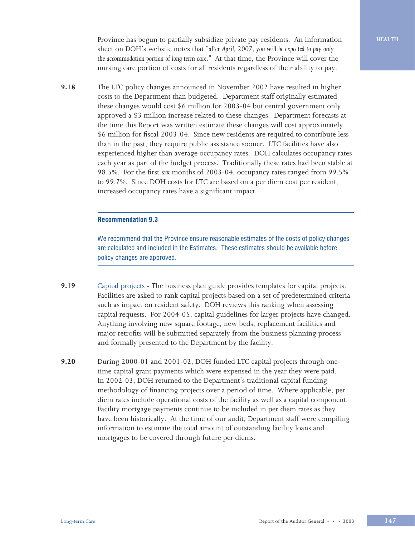Province has begun to partially subsidize private pay residents. An information sheet on DOH's website notes that *"after April, 2007, you will be expected to pay only the accommodation portion of long term care."* At that time, the Province will cover the nursing care portion of costs for all residents regardless of their ability to pay.

**9.18** The LTC policy changes announced in November 2002 have resulted in higher costs to the Department than budgeted. Department staff originally estimated these changes would cost \$6 million for 2003-04 but central government only approved a \$3 million increase related to these changes. Department forecasts at the time this Report was written estimate these changes will cost approximately \$6 million for fiscal 2003-04. Since new residents are required to contribute less than in the past, they require public assistance sooner. LTC facilities have also experienced higher than average occupancy rates. DOH calculates occupancy rates each year as part of the budget process. Traditionally these rates had been stable at 98.5%. For the first six months of 2003-04, occupancy rates ranged from 99.5% to 99.7%. Since DOH costs for LTC are based on a per diem cost per resident, increased occupancy rates have a significant impact.

### **Recommendation 9.3**

We recommend that the Province ensure reasonable estimates of the costs of policy changes are calculated and included in the Estimates. These estimates should be available before policy changes are approved.

- **9.19** Capital projects The business plan guide provides templates for capital projects. Facilities are asked to rank capital projects based on a set of predetermined criteria such as impact on resident safety. DOH reviews this ranking when assessing capital requests. For 2004-05, capital guidelines for larger projects have changed. Anything involving new square footage, new beds, replacement facilities and major retrofits will be submitted separately from the business planning process and formally presented to the Department by the facility.
- **9.20** During 2000-01 and 2001-02, DOH funded LTC capital projects through onetime capital grant payments which were expensed in the year they were paid. In 2002-03, DOH returned to the Department's traditional capital funding methodology of financing projects over a period of time. Where applicable, per diem rates include operational costs of the facility as well as a capital component. Facility mortgage payments continue to be included in per diem rates as they have been historically. At the time of our audit, Department staff were compiling information to estimate the total amount of outstanding facility loans and mortgages to be covered through future per diems.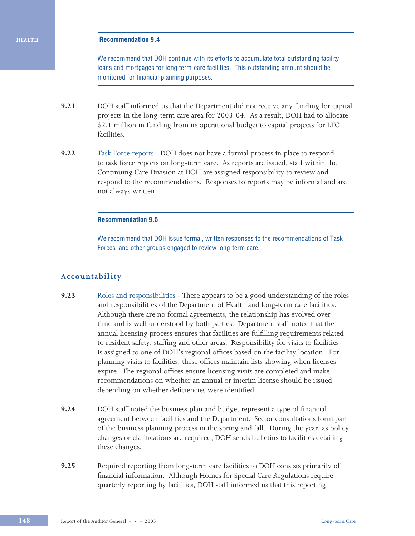#### **Recommendation 9.4**

We recommend that DOH continue with its efforts to accumulate total outstanding facility loans and mortgages for long term-care facilities. This outstanding amount should be monitored for financial planning purposes.

- **9.21** DOH staff informed us that the Department did not receive any funding for capital projects in the long-term care area for 2003-04. As a result, DOH had to allocate \$2.1 million in funding from its operational budget to capital projects for LTC facilities.
- **9.22** Task Force reports DOH does not have a formal process in place to respond to task force reports on long-term care. As reports are issued, staff within the Continuing Care Division at DOH are assigned responsibility to review and respond to the recommendations. Responses to reports may be informal and are not always written.

### **Recommendation 9.5**

We recommend that DOH issue formal, written responses to the recommendations of Task Forces and other groups engaged to review long-term care.

### **Accountability**

- **9.23** Roles and responsibilities There appears to be a good understanding of the roles and responsibilities of the Department of Health and long-term care facilities. Although there are no formal agreements, the relationship has evolved over time and is well understood by both parties. Department staff noted that the annual licensing process ensures that facilities are fulfilling requirements related to resident safety, staffing and other areas. Responsibility for visits to facilities is assigned to one of DOH's regional offices based on the facility location. For planning visits to facilities, these offices maintain lists showing when licenses expire. The regional offices ensure licensing visits are completed and make recommendations on whether an annual or interim license should be issued depending on whether deficiencies were identified.
- **9.24** DOH staff noted the business plan and budget represent a type of financial agreement between facilities and the Department. Sector consultations form part of the business planning process in the spring and fall. During the year, as policy changes or clarifications are required, DOH sends bulletins to facilities detailing these changes.
- **9.25** Required reporting from long-term care facilities to DOH consists primarily of financial information. Although Homes for Special Care Regulations require quarterly reporting by facilities, DOH staff informed us that this reporting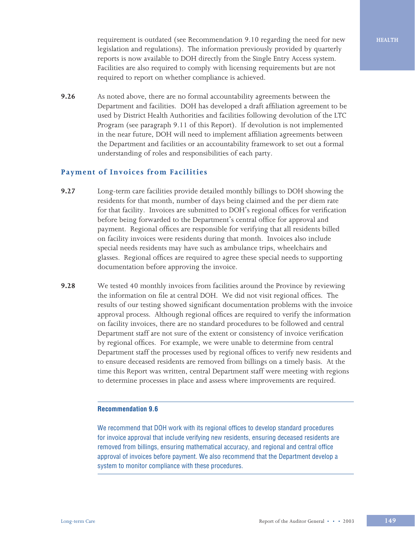requirement is outdated (see Recommendation 9.10 regarding the need for new legislation and regulations). The information previously provided by quarterly reports is now available to DOH directly from the Single Entry Access system. Facilities are also required to comply with licensing requirements but are not required to report on whether compliance is achieved.

**9.26** As noted above, there are no formal accountability agreements between the Department and facilities. DOH has developed a draft affiliation agreement to be used by District Health Authorities and facilities following devolution of the LTC Program (see paragraph 9.11 of this Report). If devolution is not implemented in the near future, DOH will need to implement affiliation agreements between the Department and facilities or an accountability framework to set out a formal understanding of roles and responsibilities of each party.

### **Payment of Invoices from Facilities**

- **9.27** Long-term care facilities provide detailed monthly billings to DOH showing the residents for that month, number of days being claimed and the per diem rate for that facility. Invoices are submitted to DOH's regional offices for verification before being forwarded to the Department's central office for approval and payment. Regional offices are responsible for verifying that all residents billed on facility invoices were residents during that month. Invoices also include special needs residents may have such as ambulance trips, wheelchairs and glasses. Regional offices are required to agree these special needs to supporting documentation before approving the invoice.
- **9.28** We tested 40 monthly invoices from facilities around the Province by reviewing the information on file at central DOH. We did not visit regional offices. The results of our testing showed significant documentation problems with the invoice approval process. Although regional offices are required to verify the information on facility invoices, there are no standard procedures to be followed and central Department staff are not sure of the extent or consistency of invoice verification by regional offices. For example, we were unable to determine from central Department staff the processes used by regional offices to verify new residents and to ensure deceased residents are removed from billings on a timely basis. At the time this Report was written, central Department staff were meeting with regions to determine processes in place and assess where improvements are required.

#### **Recommendation 9.6**

We recommend that DOH work with its regional offices to develop standard procedures for invoice approval that include verifying new residents, ensuring deceased residents are removed from billings, ensuring mathematical accuracy, and regional and central office approval of invoices before payment. We also recommend that the Department develop a system to monitor compliance with these procedures.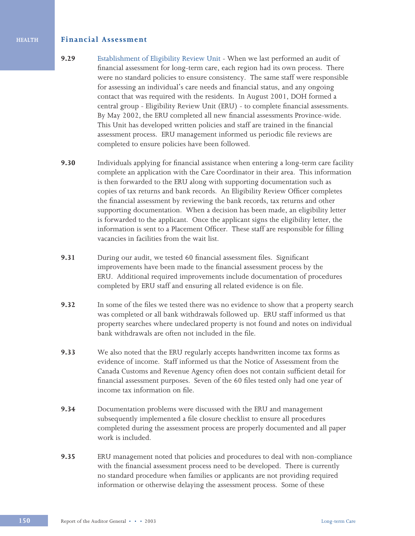## **Financial Assessment**

- **9.29** Establishment of Eligibility Review Unit When we last performed an audit of financial assessment for long-term care, each region had its own process. There were no standard policies to ensure consistency. The same staff were responsible for assessing an individual's care needs and financial status, and any ongoing contact that was required with the residents. In August 2001, DOH formed a central group - Eligibility Review Unit (ERU) - to complete financial assessments. By May 2002, the ERU completed all new financial assessments Province-wide. This Unit has developed written policies and staff are trained in the financial assessment process. ERU management informed us periodic file reviews are completed to ensure policies have been followed.
- **9.30** Individuals applying for financial assistance when entering a long-term care facility complete an application with the Care Coordinator in their area. This information is then forwarded to the ERU along with supporting documentation such as copies of tax returns and bank records. An Eligibility Review Officer completes the financial assessment by reviewing the bank records, tax returns and other supporting documentation. When a decision has been made, an eligibility letter is forwarded to the applicant. Once the applicant signs the eligibility letter, the information is sent to a Placement Officer. These staff are responsible for filling vacancies in facilities from the wait list.
- **9.31** During our audit, we tested 60 financial assessment files. Significant improvements have been made to the financial assessment process by the ERU. Additional required improvements include documentation of procedures completed by ERU staff and ensuring all related evidence is on file.
- **9.32** In some of the files we tested there was no evidence to show that a property search was completed or all bank withdrawals followed up. ERU staff informed us that property searches where undeclared property is not found and notes on individual bank withdrawals are often not included in the file.
- **9.33** We also noted that the ERU regularly accepts handwritten income tax forms as evidence of income. Staff informed us that the Notice of Assessment from the Canada Customs and Revenue Agency often does not contain sufficient detail for financial assessment purposes. Seven of the 60 files tested only had one year of income tax information on file.
- **9.34** Documentation problems were discussed with the ERU and management subsequently implemented a file closure checklist to ensure all procedures completed during the assessment process are properly documented and all paper work is included.
- **9.35** ERU management noted that policies and procedures to deal with non-compliance with the financial assessment process need to be developed. There is currently no standard procedure when families or applicants are not providing required information or otherwise delaying the assessment process. Some of these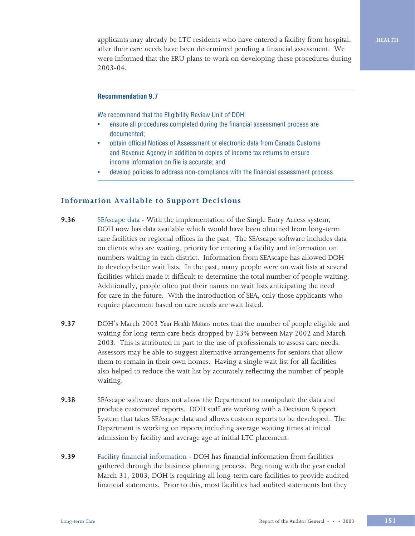applicants may already be LTC residents who have entered a facility from hospital, after their care needs have been determined pending a financial assessment. We were informed that the ERU plans to work on developing these procedures during 2003-04.

### **Recommendation 9.7**

We recommend that the Eligibility Review Unit of DOH:

- ensure all procedures completed during the financial assessment process are documented;
- obtain official Notices of Assessment or electronic data from Canada Customs and Revenue Agency in addition to copies of income tax returns to ensure income information on file is accurate; and
- develop policies to address non-compliance with the financial assessment process.

### **Information Available to Support Decisions**

- **9.36** SEAscape data With the implementation of the Single Entry Access system, DOH now has data available which would have been obtained from long-term care facilities or regional offices in the past. The SEAscape software includes data on clients who are waiting, priority for entering a facility and information on numbers waiting in each district. Information from SEAscape has allowed DOH to develop better wait lists. In the past, many people were on wait lists at several facilities which made it difficult to determine the total number of people waiting. Additionally, people often put their names on wait lists anticipating the need for care in the future. With the introduction of SEA, only those applicants who require placement based on care needs are wait listed.
- **9.37** DOH's March 2003 *Your Health Matters* notes that the number of people eligible and waiting for long-term care beds dropped by 23% between May 2002 and March 2003. This is attributed in part to the use of professionals to assess care needs. Assessors may be able to suggest alternative arrangements for seniors that allow them to remain in their own homes. Having a single wait list for all facilities also helped to reduce the wait list by accurately reflecting the number of people waiting.
- **9.38** SEAscape software does not allow the Department to manipulate the data and produce customized reports. DOH staff are working with a Decision Support System that takes SEAscape data and allows custom reports to be developed. The Department is working on reports including average waiting times at initial admission by facility and average age at initial LTC placement.
- **9.39** Facility financial information DOH has financial information from facilities gathered through the business planning process. Beginning with the year ended March 31, 2003, DOH is requiring all long-term care facilities to provide audited financial statements. Prior to this, most facilities had audited statements but they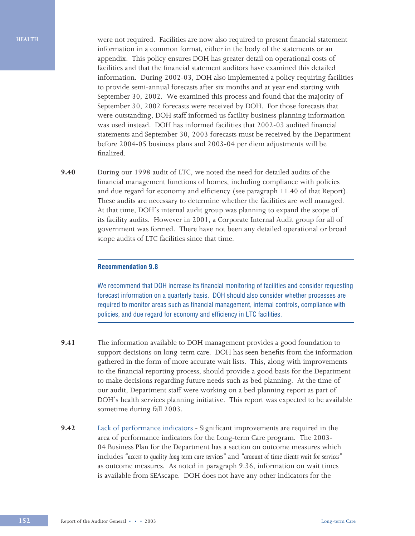**HEALTH**

were not required. Facilities are now also required to present financial statement information in a common format, either in the body of the statements or an appendix. This policy ensures DOH has greater detail on operational costs of facilities and that the financial statement auditors have examined this detailed information. During 2002-03, DOH also implemented a policy requiring facilities to provide semi-annual forecasts after six months and at year end starting with September 30, 2002. We examined this process and found that the majority of September 30, 2002 forecasts were received by DOH. For those forecasts that were outstanding, DOH staff informed us facility business planning information was used instead. DOH has informed facilities that 2002-03 audited financial statements and September 30, 2003 forecasts must be received by the Department before 2004-05 business plans and 2003-04 per diem adjustments will be finalized.

**9.40** During our 1998 audit of LTC, we noted the need for detailed audits of the financial management functions of homes, including compliance with policies and due regard for economy and efficiency (see paragraph 11.40 of that Report). These audits are necessary to determine whether the facilities are well managed. At that time, DOH's internal audit group was planning to expand the scope of its facility audits. However in 2001, a Corporate Internal Audit group for all of government was formed. There have not been any detailed operational or broad scope audits of LTC facilities since that time.

### **Recommendation 9.8**

We recommend that DOH increase its financial monitoring of facilities and consider requesting forecast information on a quarterly basis. DOH should also consider whether processes are required to monitor areas such as financial management, internal controls, compliance with policies, and due regard for economy and efficiency in LTC facilities.

- **9.41** The information available to DOH management provides a good foundation to support decisions on long-term care. DOH has seen benefits from the information gathered in the form of more accurate wait lists. This, along with improvements to the financial reporting process, should provide a good basis for the Department to make decisions regarding future needs such as bed planning. At the time of our audit, Department staff were working on a bed planning report as part of DOH's health services planning initiative. This report was expected to be available sometime during fall 2003.
- **9.42** Lack of performance indicators Significant improvements are required in the area of performance indicators for the Long-term Care program. The 2003- 04 Business Plan for the Department has a section on outcome measures which includes *"access to quality long term care services"* and *"amount of time clients wait for services"* as outcome measures. As noted in paragraph 9.36, information on wait times is available from SEAscape. DOH does not have any other indicators for the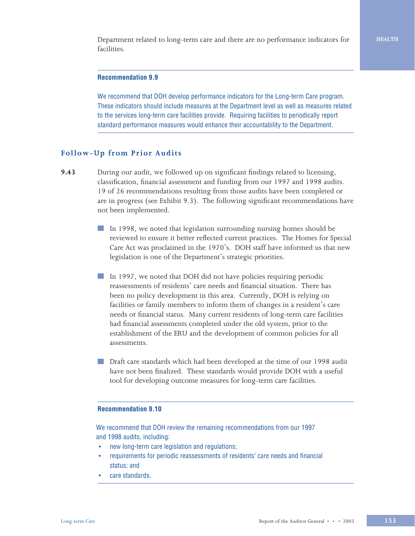Department related to long-term care and there are no performance indicators for facilities.

### **Recommendation 9.9**

We recommend that DOH develop performance indicators for the Long-term Care program. These indicators should include measures at the Department level as well as measures related to the services long-term care facilities provide. Requiring facilities to periodically report standard performance measures would enhance their accountability to the Department.

### **Follow-Up from Prior Audits**

- **9.43** During our audit, we followed up on significant findings related to licensing, classification, financial assessment and funding from our 1997 and 1998 audits. 19 of 26 recommendations resulting from those audits have been completed or are in progress (see Exhibit 9.3). The following significant recommendations have not been implemented.
	- In 1998, we noted that legislation surrounding nursing homes should be reviewed to ensure it better reflected current practices. The Homes for Special Care Act was proclaimed in the 1970's. DOH staff have informed us that new legislation is one of the Department's strategic priorities.
	- In 1997, we noted that DOH did not have policies requiring periodic reassessments of residents' care needs and financial situation. There has been no policy development in this area. Currently, DOH is relying on facilities or family members to inform them of changes in a resident's care needs or financial status. Many current residents of long-term care facilities had financial assessments completed under the old system, prior to the establishment of the ERU and the development of common policies for all assessments.
	- Draft care standards which had been developed at the time of our 1998 audit have not been finalized. These standards would provide DOH with a useful tool for developing outcome measures for long-term care facilities.

### **Recommendation 9.10**

We recommend that DOH review the remaining recommendations from our 1997 and 1998 audits, including:

- new long-term care legislation and regulations;
- requirements for periodic reassessments of residents' care needs and financial status; and
- care standards.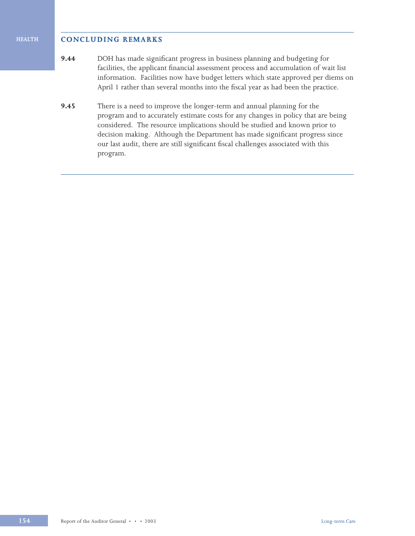### **CONCLUDING REMARKS**

**HEALTH**

- **9.44** DOH has made significant progress in business planning and budgeting for facilities, the applicant financial assessment process and accumulation of wait list information. Facilities now have budget letters which state approved per diems on April 1 rather than several months into the fiscal year as had been the practice.
- **9.45** There is a need to improve the longer-term and annual planning for the program and to accurately estimate costs for any changes in policy that are being considered. The resource implications should be studied and known prior to decision making. Although the Department has made significant progress since our last audit, there are still significant fiscal challenges associated with this program.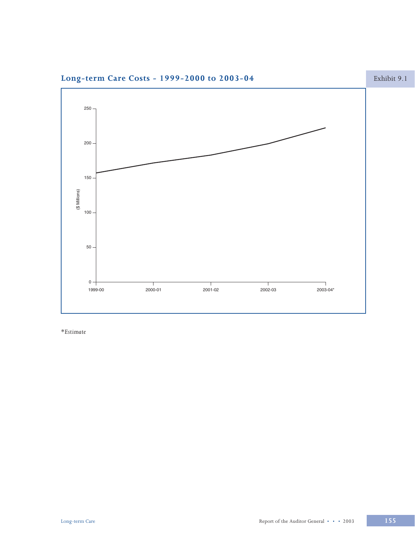

Long-term Care Costs - 1999-2000 to 2003-04

 $\ast_{\text{Estimate}}$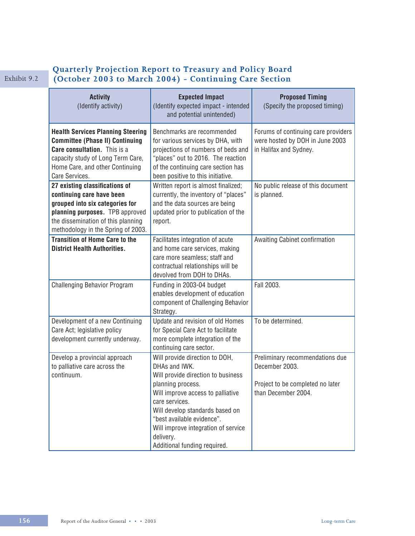# Exhibit 9.2

# **Quarterly Projection Report to Treasury and Policy Board Exhibit 9.2** (October 2003 to March 2004) - Continuing Care Section

| <b>Activity</b><br>(Identify activity)                                                                                                                                                                        | <b>Expected Impact</b><br>(Identify expected impact - intended<br>and potential unintended)                                                                                                                                                                                                                            | <b>Proposed Timing</b><br>(Specify the proposed timing)                                                      |
|---------------------------------------------------------------------------------------------------------------------------------------------------------------------------------------------------------------|------------------------------------------------------------------------------------------------------------------------------------------------------------------------------------------------------------------------------------------------------------------------------------------------------------------------|--------------------------------------------------------------------------------------------------------------|
| <b>Health Services Planning Steering</b><br><b>Committee (Phase II) Continuing</b><br>Care consultation. This is a<br>capacity study of Long Term Care,<br>Home Care, and other Continuing<br>Care Services.  | Benchmarks are recommended<br>for various services by DHA, with<br>projections of numbers of beds and<br>"places" out to 2016. The reaction<br>of the continuing care section has<br>been positive to this initiative.                                                                                                 | Forums of continuing care providers<br>were hosted by DOH in June 2003<br>in Halifax and Sydney.             |
| 27 existing classifications of<br>continuing care have been<br>grouped into six categories for<br>planning purposes. TPB approved<br>the dissemination of this planning<br>methodology in the Spring of 2003. | Written report is almost finalized;<br>currently, the inventory of "places"<br>and the data sources are being<br>updated prior to publication of the<br>report.                                                                                                                                                        | No public release of this document<br>is planned.                                                            |
| <b>Transition of Home Care to the</b><br><b>District Health Authorities.</b>                                                                                                                                  | Facilitates integration of acute<br>and home care services, making<br>care more seamless; staff and<br>contractual relationships will be<br>devolved from DOH to DHAs.                                                                                                                                                 | Awaiting Cabinet confirmation                                                                                |
| <b>Challenging Behavior Program</b>                                                                                                                                                                           | Funding in 2003-04 budget<br>enables development of education<br>component of Challenging Behavior<br>Strategy.                                                                                                                                                                                                        | Fall 2003.                                                                                                   |
| Development of a new Continuing<br>Care Act; legislative policy<br>development currently underway.                                                                                                            | Update and revision of old Homes<br>for Special Care Act to facilitate<br>more complete integration of the<br>continuing care sector.                                                                                                                                                                                  | To be determined.                                                                                            |
| Develop a provincial approach<br>to palliative care across the<br>continuum.                                                                                                                                  | Will provide direction to DOH,<br>DHAs and IWK.<br>Will provide direction to business<br>planning process.<br>Will improve access to palliative<br>care services.<br>Will develop standards based on<br>"best available evidence".<br>Will improve integration of service<br>delivery.<br>Additional funding required. | Preliminary recommendations due<br>December 2003.<br>Project to be completed no later<br>than December 2004. |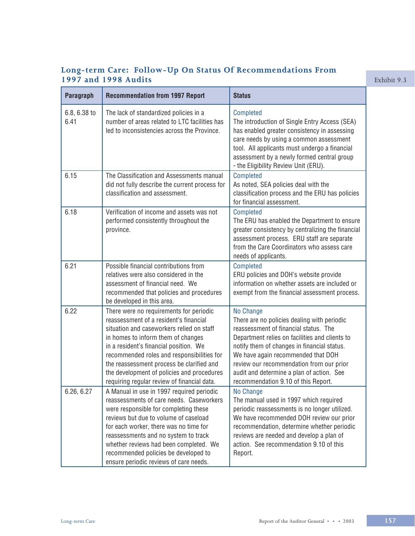# **Long-term Care: Follow-Up On Status Of Recommendations From 1997 and 1998 Audits Exhibit 9.3**

| Paragraph            | <b>Recommendation from 1997 Report</b>                                                                                                                                                                                                                                                                                                                                                                 | <b>Status</b>                                                                                                                                                                                                                                                                                                                                                            |
|----------------------|--------------------------------------------------------------------------------------------------------------------------------------------------------------------------------------------------------------------------------------------------------------------------------------------------------------------------------------------------------------------------------------------------------|--------------------------------------------------------------------------------------------------------------------------------------------------------------------------------------------------------------------------------------------------------------------------------------------------------------------------------------------------------------------------|
| 6.8, 6.38 to<br>6.41 | The lack of standardized policies in a<br>number of areas related to LTC facilities has<br>led to inconsistencies across the Province.                                                                                                                                                                                                                                                                 | <b>Completed</b><br>The introduction of Single Entry Access (SEA)<br>has enabled greater consistency in assessing<br>care needs by using a common assessment<br>tool. All applicants must undergo a financial<br>assessment by a newly formed central group<br>- the Eligibility Review Unit (ERU).                                                                      |
| 6.15                 | The Classification and Assessments manual<br>did not fully describe the current process for<br>classification and assessment.                                                                                                                                                                                                                                                                          | <b>Completed</b><br>As noted, SEA policies deal with the<br>classification process and the ERU has policies<br>for financial assessment.                                                                                                                                                                                                                                 |
| 6.18                 | Verification of income and assets was not<br>performed consistently throughout the<br>province.                                                                                                                                                                                                                                                                                                        | <b>Completed</b><br>The ERU has enabled the Department to ensure<br>greater consistency by centralizing the financial<br>assessment process. ERU staff are separate<br>from the Care Coordinators who assess care<br>needs of applicants.                                                                                                                                |
| 6.21                 | Possible financial contributions from<br>relatives were also considered in the<br>assessment of financial need. We<br>recommended that policies and procedures<br>be developed in this area.                                                                                                                                                                                                           | <b>Completed</b><br>ERU policies and DOH's website provide<br>information on whether assets are included or<br>exempt from the financial assessment process.                                                                                                                                                                                                             |
| 6.22                 | There were no requirements for periodic<br>reassessment of a resident's financial<br>situation and caseworkers relied on staff<br>in homes to inform them of changes<br>in a resident's financial position. We<br>recommended roles and responsibilities for<br>the reassessment process be clarified and<br>the development of policies and procedures<br>requiring regular review of financial data. | No Change<br>There are no policies dealing with periodic<br>reassessment of financial status. The<br>Department relies on facilities and clients to<br>notify them of changes in financial status.<br>We have again recommended that DOH<br>review our recommendation from our prior<br>audit and determine a plan of action. See<br>recommendation 9.10 of this Report. |
| 6.26, 6.27           | A Manual in use in 1997 required periodic<br>reassessments of care needs. Caseworkers<br>were responsible for completing these<br>reviews but due to volume of caseload<br>for each worker, there was no time for<br>reassessments and no system to track<br>whether reviews had been completed. We<br>recommended policies be developed to<br>ensure periodic reviews of care needs.                  | No Change<br>The manual used in 1997 which required<br>periodic reassessments is no longer utilized.<br>We have recommended DOH review our prior<br>recommendation, determine whether periodic<br>reviews are needed and develop a plan of<br>action. See recommendation 9.10 of this<br>Report.                                                                         |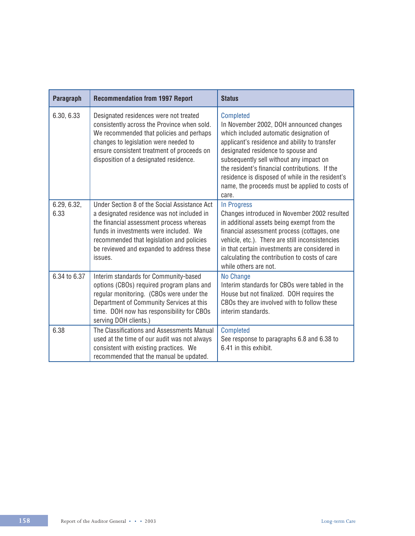| Paragraph           | <b>Recommendation from 1997 Report</b>                                                                                                                                                                                                                                                | <b>Status</b>                                                                                                                                                                                                                                                                                                                                                                                             |
|---------------------|---------------------------------------------------------------------------------------------------------------------------------------------------------------------------------------------------------------------------------------------------------------------------------------|-----------------------------------------------------------------------------------------------------------------------------------------------------------------------------------------------------------------------------------------------------------------------------------------------------------------------------------------------------------------------------------------------------------|
| 6.30, 6.33          | Designated residences were not treated<br>consistently across the Province when sold.<br>We recommended that policies and perhaps<br>changes to legislation were needed to<br>ensure consistent treatment of proceeds on<br>disposition of a designated residence.                    | <b>Completed</b><br>In November 2002, DOH announced changes<br>which included automatic designation of<br>applicant's residence and ability to transfer<br>designated residence to spouse and<br>subsequently sell without any impact on<br>the resident's financial contributions. If the<br>residence is disposed of while in the resident's<br>name, the proceeds must be applied to costs of<br>care. |
| 6.29, 6.32,<br>6.33 | Under Section 8 of the Social Assistance Act<br>a designated residence was not included in<br>the financial assessment process whereas<br>funds in investments were included. We<br>recommended that legislation and policies<br>be reviewed and expanded to address these<br>issues. | In Progress<br>Changes introduced in November 2002 resulted<br>in additional assets being exempt from the<br>financial assessment process (cottages, one<br>vehicle, etc.). There are still inconsistencies<br>in that certain investments are considered in<br>calculating the contribution to costs of care<br>while others are not.                                                                    |
| 6.34 to 6.37        | Interim standards for Community-based<br>options (CBOs) required program plans and<br>regular monitoring. (CBOs were under the<br>Department of Community Services at this<br>time. DOH now has responsibility for CBOs<br>serving DOH clients.)                                      | No Change<br>Interim standards for CBOs were tabled in the<br>House but not finalized. DOH requires the<br>CBOs they are involved with to follow these<br>interim standards.                                                                                                                                                                                                                              |
| 6.38                | The Classifications and Assessments Manual<br>used at the time of our audit was not always<br>consistent with existing practices. We<br>recommended that the manual be updated.                                                                                                       | <b>Completed</b><br>See response to paragraphs 6.8 and 6.38 to<br>6.41 in this exhibit.                                                                                                                                                                                                                                                                                                                   |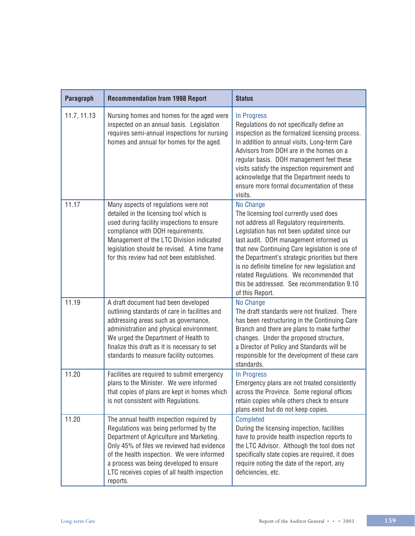| Paragraph   | <b>Recommendation from 1998 Report</b>                                                                                                                                                                                                                                                                                            | <b>Status</b>                                                                                                                                                                                                                                                                                                                                                                                                                                                |
|-------------|-----------------------------------------------------------------------------------------------------------------------------------------------------------------------------------------------------------------------------------------------------------------------------------------------------------------------------------|--------------------------------------------------------------------------------------------------------------------------------------------------------------------------------------------------------------------------------------------------------------------------------------------------------------------------------------------------------------------------------------------------------------------------------------------------------------|
| 11.7, 11.13 | Nursing homes and homes for the aged were<br>inspected on an annual basis. Legislation<br>requires semi-annual inspections for nursing<br>homes and annual for homes for the aged.                                                                                                                                                | In Progress<br>Regulations do not specifically define an<br>inspection as the formalized licensing process.<br>In addition to annual visits, Long-term Care<br>Advisors from DOH are in the homes on a<br>regular basis. DOH management feel these<br>visits satisfy the inspection requirement and<br>acknowledge that the Department needs to<br>ensure more formal documentation of these<br>visits.                                                      |
| 11.17       | Many aspects of regulations were not<br>detailed in the licensing tool which is<br>used during facility inspections to ensure<br>compliance with DOH requirements.<br>Management of the LTC Division indicated<br>legislation should be revised. A time frame<br>for this review had not been established.                        | No Change<br>The licensing tool currently used does<br>not address all Regulatory requirements.<br>Legislation has not been updated since our<br>last audit. DOH management informed us<br>that new Continuing Care legislation is one of<br>the Department's strategic priorities but there<br>is no definite timeline for new legislation and<br>related Regulations. We recommended that<br>this be addressed. See recommendation 9.10<br>of this Report. |
| 11.19       | A draft document had been developed<br>outlining standards of care in facilities and<br>addressing areas such as governance,<br>administration and physical environment.<br>We urged the Department of Health to<br>finalize this draft as it is necessary to set<br>standards to measure facility outcomes.                      | No Change<br>The draft standards were not finalized. There<br>has been restructuring in the Continuing Care<br>Branch and there are plans to make further<br>changes. Under the proposed structure,<br>a Director of Policy and Standards will be<br>responsible for the development of these care<br>standards.                                                                                                                                             |
| 11.20       | Facilities are required to submit emergency<br>plans to the Minister. We were informed<br>that copies of plans are kept in homes which<br>is not consistent with Regulations.                                                                                                                                                     | In Progress<br>Emergency plans are not treated consistently<br>across the Province. Some regional offices<br>retain copies while others check to ensure<br>plans exist but do not keep copies.                                                                                                                                                                                                                                                               |
| 11.20       | The annual health inspection required by<br>Regulations was being performed by the<br>Department of Agriculture and Marketing.<br>Only 45% of files we reviewed had evidence<br>of the health inspection. We were informed<br>a process was being developed to ensure<br>LTC receives copies of all health inspection<br>reports. | <b>Completed</b><br>During the licensing inspection, facilities<br>have to provide health inspection reports to<br>the LTC Advisor. Although the tool does not<br>specifically state copies are required, it does<br>require noting the date of the report, any<br>deficiencies, etc.                                                                                                                                                                        |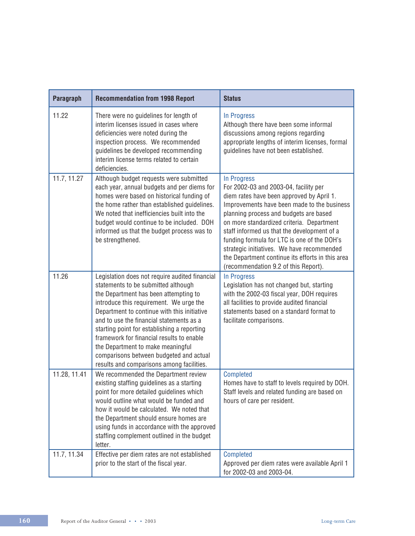| Paragraph    | <b>Recommendation from 1998 Report</b>                                                                                                                                                                                                                                                                                                                                                                                                                                                        | <b>Status</b>                                                                                                                                                                                                                                                                                                                                                                                                                                                                   |
|--------------|-----------------------------------------------------------------------------------------------------------------------------------------------------------------------------------------------------------------------------------------------------------------------------------------------------------------------------------------------------------------------------------------------------------------------------------------------------------------------------------------------|---------------------------------------------------------------------------------------------------------------------------------------------------------------------------------------------------------------------------------------------------------------------------------------------------------------------------------------------------------------------------------------------------------------------------------------------------------------------------------|
| 11.22        | There were no guidelines for length of<br>interim licenses issued in cases where<br>deficiencies were noted during the<br>inspection process. We recommended<br>guidelines be developed recommending<br>interim license terms related to certain<br>deficiencies.                                                                                                                                                                                                                             | In Progress<br>Although there have been some informal<br>discussions among regions regarding<br>appropriate lengths of interim licenses, formal<br>guidelines have not been established.                                                                                                                                                                                                                                                                                        |
| 11.7, 11.27  | Although budget requests were submitted<br>each year, annual budgets and per diems for<br>homes were based on historical funding of<br>the home rather than established guidelines.<br>We noted that inefficiencies built into the<br>budget would continue to be included. DOH<br>informed us that the budget process was to<br>be strengthened.                                                                                                                                             | In Progress<br>For 2002-03 and 2003-04, facility per<br>diem rates have been approved by April 1.<br>Improvements have been made to the business<br>planning process and budgets are based<br>on more standardized criteria. Department<br>staff informed us that the development of a<br>funding formula for LTC is one of the DOH's<br>strategic initiatives. We have recommended<br>the Department continue its efforts in this area<br>(recommendation 9.2 of this Report). |
| 11.26        | Legislation does not require audited financial<br>statements to be submitted although<br>the Department has been attempting to<br>introduce this requirement. We urge the<br>Department to continue with this initiative<br>and to use the financial statements as a<br>starting point for establishing a reporting<br>framework for financial results to enable<br>the Department to make meaningful<br>comparisons between budgeted and actual<br>results and comparisons among facilities. | In Progress<br>Legislation has not changed but, starting<br>with the 2002-03 fiscal year, DOH requires<br>all facilities to provide audited financial<br>statements based on a standard format to<br>facilitate comparisons.                                                                                                                                                                                                                                                    |
| 11.28, 11.41 | We recommended the Department review<br>existing staffing guidelines as a starting<br>point for more detailed guidelines which<br>would outline what would be funded and<br>how it would be calculated. We noted that<br>the Department should ensure homes are<br>using funds in accordance with the approved<br>staffing complement outlined in the budget<br>letter.                                                                                                                       | <b>Completed</b><br>Homes have to staff to levels required by DOH.<br>Staff levels and related funding are based on<br>hours of care per resident.                                                                                                                                                                                                                                                                                                                              |
| 11.7, 11.34  | Effective per diem rates are not established<br>prior to the start of the fiscal year.                                                                                                                                                                                                                                                                                                                                                                                                        | <b>Completed</b><br>Approved per diem rates were available April 1<br>for 2002-03 and 2003-04.                                                                                                                                                                                                                                                                                                                                                                                  |